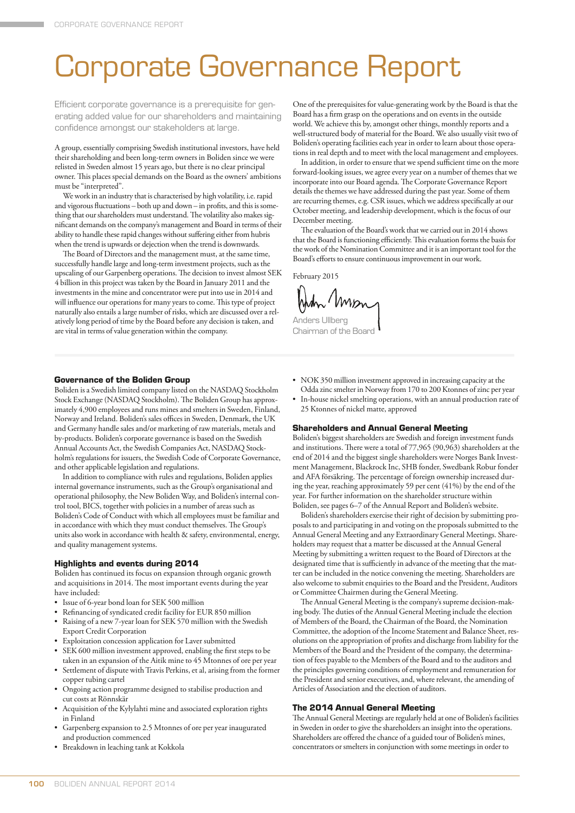# Corporate Governance Report

Efficient corporate governance is a prerequisite for generating added value for our shareholders and maintaining confidence amongst our stakeholders at large.

A group, essentially comprising Swedish institutional investors, have held their shareholding and been long-term owners in Boliden since we were relisted in Sweden almost 15 years ago, but there is no clear principal owner. This places special demands on the Board as the owners' ambitions must be "interpreted".

We work in an industry that is characterised by high volatility, i.e. rapid and vigorous fluctuations – both up and down – in profits, and this is something that our shareholders must understand. The volatility also makes significant demands on the company's management and Board in terms of their ability to handle these rapid changes without suffering either from hubris when the trend is upwards or dejection when the trend is downwards.

The Board of Directors and the management must, at the same time, successfully handle large and long-term investment projects, such as the upscaling of our Garpenberg operations. The decision to invest almost SEK 4 billion in this project was taken by the Board in January 2011 and the investments in the mine and concentrator were put into use in 2014 and will influence our operations for many years to come. This type of project naturally also entails a large number of risks, which are discussed over a relatively long period of time by the Board before any decision is taken, and are vital in terms of value generation within the company.

One of the prerequisites for value-generating work by the Board is that the Board has a firm grasp on the operations and on events in the outside world. We achieve this by, amongst other things, monthly reports and a well-structured body of material for the Board. We also usually visit two of Boliden's operating facilities each year in order to learn about those operations in real depth and to meet with the local management and employees.

In addition, in order to ensure that we spend sufficient time on the more forward-looking issues, we agree every year on a number of themes that we incorporate into our Board agenda. The Corporate Governance Report details the themes we have addressed during the past year. Some of them are recurring themes, e.g. CSR issues, which we address specifically at our October meeting, and leadership development, which is the focus of our December meeting.

The evaluation of the Board's work that we carried out in 2014 shows that the Board is functioning efficiently. This evaluation forms the basis for the work of the Nomination Committee and it is an important tool for the Board's efforts to ensure continuous improvement in our work.

February 2015

Anders Ullberg Chairman of the Boar

# **Governance of the Boliden Group**

Boliden is a Swedish limited company listed on the NASDAQ Stockholm Stock Exchange (NASDAQ Stockholm). The Boliden Group has approximately 4,900 employees and runs mines and smelters in Sweden, Finland, Norway and Ireland. Boliden's sales offices in Sweden, Denmark, the UK and Germany handle sales and/or marketing of raw materials, metals and by-products. Boliden's corporate governance is based on the Swedish Annual Accounts Act, the Swedish Companies Act, NASDAQ Stockholm's regulations for issuers, the Swedish Code of Corporate Governance, and other applicable legislation and regulations.

In addition to compliance with rules and regulations, Boliden applies internal governance instruments, such as the Group's organisational and operational philosophy, the New Boliden Way, and Boliden's internal control tool, BICS, together with policies in a number of areas such as Boliden's Code of Conduct with which all employees must be familiar and in accordance with which they must conduct themselves. The Group's units also work in accordance with health & safety, environmental, energy, and quality management systems.

## **Highlights and events during 2014**

Boliden has continued its focus on expansion through organic growth and acquisitions in 2014. The most important events during the year have included:

- Issue of 6-year bond loan for SEK 500 million
- Refinancing of syndicated credit facility for EUR 850 million
- Raising of a new 7-year loan for SEK 570 million with the Swedish Export Credit Corporation
- Exploitation concession application for Laver submitted
- SEK 600 million investment approved, enabling the first steps to be taken in an expansion of the Aitik mine to 45 Mtonnes of ore per year
- Settlement of dispute with Travis Perkins, et al, arising from the former copper tubing cartel
- Ongoing action programme designed to stabilise production and cut costs at Rönnskär
- Acquisition of the Kylylahti mine and associated exploration rights in Finland
- Garpenberg expansion to 2.5 Mtonnes of ore per year inaugurated and production commenced
- Breakdown in leaching tank at Kokkola
- NOK 350 million investment approved in increasing capacity at the Odda zinc smelter in Norway from 170 to 200 Ktonnes of zinc per year
- In-house nickel smelting operations, with an annual production rate of 25 Ktonnes of nickel matte, approved

# **Shareholders and Annual General Meeting**

Boliden's biggest shareholders are Swedish and foreign investment funds and institutions. There were a total of 77,965 (90,963) shareholders at the end of 2014 and the biggest single shareholders were Norges Bank Investment Management, Blackrock Inc, SHB fonder, Swedbank Robur fonder and AFA försäkring. The percentage of foreign ownership increased during the year, reaching approximately 59 per cent (41%) by the end of the year. For further information on the shareholder structure within Boliden, see pages 6–7 of the Annual Report and Boliden's website.

Boliden's shareholders exercise their right of decision by submitting proposals to and participating in and voting on the proposals submitted to the Annual General Meeting and any Extraordinary General Meetings. Shareholders may request that a matter be discussed at the Annual General Meeting by submitting a written request to the Board of Directors at the designated time that is sufficiently in advance of the meeting that the matter can be included in the notice convening the meeting. Shareholders are also welcome to submit enquiries to the Board and the President, Auditors or Committee Chairmen during the General Meeting.

The Annual General Meeting is the company's supreme decision-making body. The duties of the Annual General Meeting include the election of Members of the Board, the Chairman of the Board, the Nomination Committee, the adoption of the Income Statement and Balance Sheet, resolutions on the appropriation of profits and discharge from liability for the Members of the Board and the President of the company, the determination of fees payable to the Members of the Board and to the auditors and the principles governing conditions of employment and remuneration for the President and senior executives, and, where relevant, the amending of Articles of Association and the election of auditors.

# **The 2014 Annual General Meeting**

The Annual General Meetings are regularly held at one of Boliden's facilities in Sweden in order to give the shareholders an insight into the operations. Shareholders are offered the chance of a guided tour of Boliden's mines, concentrators or smelters in conjunction with some meetings in order to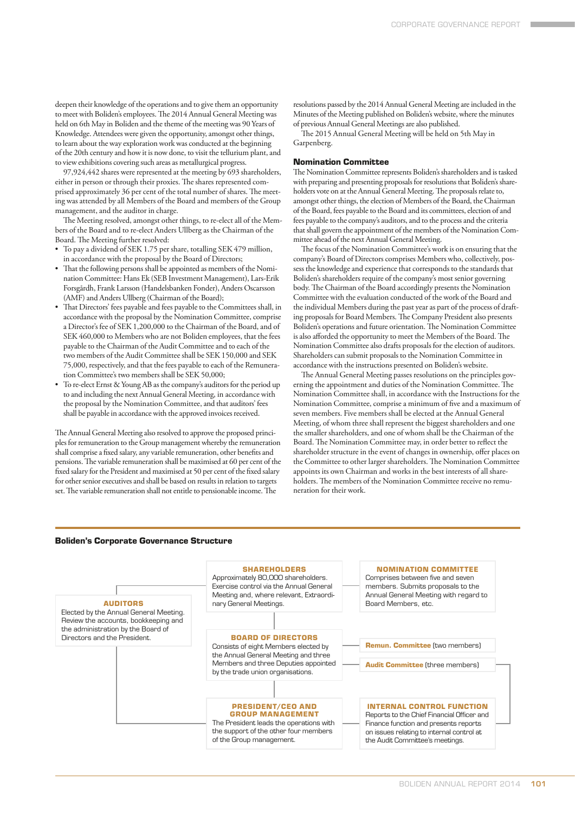deepen their knowledge of the operations and to give them an opportunity to meet with Boliden's employees. The 2014 Annual General Meeting was held on 6th May in Boliden and the theme of the meeting was 90 Years of Knowledge. Attendees were given the opportunity, amongst other things, to learn about the way exploration work was conducted at the beginning of the 20th century and how it is now done, to visit the tellurium plant, and to view exhibitions covering such areas as metallurgical progress.

97,924,442 shares were represented at the meeting by 693 shareholders, either in person or through their proxies. The shares represented comprised approximately 36 per cent of the total number of shares. The meeting was attended by all Members of the Board and members of the Group management, and the auditor in charge.

The Meeting resolved, amongst other things, to re-elect all of the Members of the Board and to re-elect Anders Ullberg as the Chairman of the Board. The Meeting further resolved:

- To pay a dividend of SEK 1.75 per share, totalling SEK 479 million, in accordance with the proposal by the Board of Directors;
- That the following persons shall be appointed as members of the Nomination Committee: Hans Ek (SEB Investment Management), Lars-Erik Forsgårdh, Frank Larsson (Handelsbanken Fonder), Anders Oscarsson (AMF) and Anders Ullberg (Chairman of the Board);
- That Directors' fees payable and fees payable to the Committees shall, in accordance with the proposal by the Nomination Committee, comprise a Director's fee of SEK 1,200,000 to the Chairman of the Board, and of SEK 460,000 to Members who are not Boliden employees, that the fees payable to the Chairman of the Audit Committee and to each of the two members of the Audit Committee shall be SEK 150,000 and SEK 75,000, respectively, and that the fees payable to each of the Remuneration Committee's two members shall be SEK 50,000;
- To re-elect Ernst & Young AB as the company's auditors for the period up to and including the next Annual General Meeting, in accordance with the proposal by the Nomination Committee, and that auditors' fees shall be payable in accordance with the approved invoices received.

The Annual General Meeting also resolved to approve the proposed principles for remuneration to the Group management whereby the remuneration shall comprise a fixed salary, any variable remuneration, other benefits and pensions. The variable remuneration shall be maximised at 60 per cent of the fixed salary for the President and maximised at 50 per cent of the fixed salary for other senior executives and shall be based on results in relation to targets set. The variable remuneration shall not entitle to pensionable income. The

resolutions passed by the 2014 Annual General Meeting are included in the Minutes of the Meeting published on Boliden's website, where the minutes of previous Annual General Meetings are also published.

The 2015 Annual General Meeting will be held on 5th May in Garpenberg.

## **Nomination Committee**

The Nomination Committee represents Boliden's shareholders and is tasked with preparing and presenting proposals for resolutions that Boliden's shareholders vote on at the Annual General Meeting. The proposals relate to, amongst other things, the election of Members of the Board, the Chairman of the Board, fees payable to the Board and its committees, election of and fees payable to the company's auditors, and to the process and the criteria that shall govern the appointment of the members of the Nomination Committee ahead of the next Annual General Meeting.

The focus of the Nomination Committee's work is on ensuring that the company's Board of Directors comprises Members who, collectively, possess the knowledge and experience that corresponds to the standards that Boliden's shareholders require of the company's most senior governing body. The Chairman of the Board accordingly presents the Nomination Committee with the evaluation conducted of the work of the Board and the individual Members during the past year as part of the process of drafting proposals for Board Members. The Company President also presents Boliden's operations and future orientation. The Nomination Committee is also afforded the opportunity to meet the Members of the Board. The Nomination Committee also drafts proposals for the election of auditors. Shareholders can submit proposals to the Nomination Committee in accordance with the instructions presented on Boliden's website.

The Annual General Meeting passes resolutions on the principles governing the appointment and duties of the Nomination Committee. The Nomination Committee shall, in accordance with the Instructions for the Nomination Committee, comprise a minimum of five and a maximum of seven members. Five members shall be elected at the Annual General Meeting, of whom three shall represent the biggest shareholders and one the smaller shareholders, and one of whom shall be the Chairman of the Board. The Nomination Committee may, in order better to reflect the shareholder structure in the event of changes in ownership, offer places on the Committee to other larger shareholders. The Nomination Committee appoints its own Chairman and works in the best interests of all shareholders. The members of the Nomination Committee receive no remuneration for their work.

## **Boliden's Corporate Governance Structure**

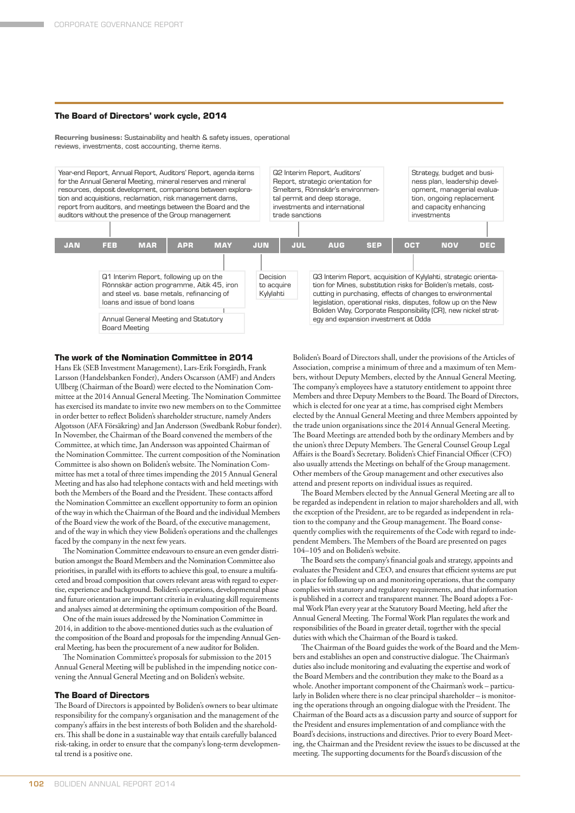#### **The Board of Directors' work cycle, 2014**

**Recurring business:** Sustainability and health & safety issues, operational reviews, investments, cost accounting, theme items.

Year-end Report, Annual Report, Auditors' Report, agenda items for the Annual General Meeting, mineral reserves and mineral resources, deposit development, comparisons between exploration and acquisitions, reclamation, risk management dams, report from auditors, and meetings between the Board and the auditors without the presence of the Group management

Q1 Interim Report, following up on the

Annual General Meeting and Statutory

Q2 Interim Report, Auditors' Report, strategic orientation for Smelters, Rönnskär's environmental permit and deep storage, investments and international trade sanctions

Rönnskär action programme, Aitik 45, iron and steel vs. base metals, refinancing of Q3 Interim Report, acquisition of Kylylahti, strategic orientation for Mines, substitution risks for Boliden's metals, costcutting in purchasing, effects of changes to environmental legislation, operational risks, disputes, follow up on the New Boliden Way, Corporate Responsibility (CR), new nickel strategy and expansion investment at Odda Decision to acquire Kylylahti **JAN FEB MAR APR MAY JUN JUL AUG SEP OCT NOV DEC**

**The work of the Nomination Committee in 2014**

loans and issue of bond loans

Board Meeting

Hans Ek (SEB Investment Management), Lars-Erik Forsgårdh, Frank Larsson (Handelsbanken Fonder), Anders Oscarsson (AMF) and Anders Ullberg (Chairman of the Board) were elected to the Nomination Committee at the 2014 Annual General Meeting. The Nomination Committee has exercised its mandate to invite two new members on to the Committee in order better to reflect Boliden's shareholder structure, namely Anders Algotsson (AFA Försäkring) and Jan Andersson (Swedbank Robur fonder). In November, the Chairman of the Board convened the members of the Committee, at which time, Jan Andersson was appointed Chairman of the Nomination Committee. The current composition of the Nomination Committee is also shown on Boliden's website. The Nomination Committee has met a total of three times impending the 2015 Annual General Meeting and has also had telephone contacts with and held meetings with both the Members of the Board and the President. These contacts afford the Nomination Committee an excellent opportunity to form an opinion of the way in which the Chairman of the Board and the individual Members of the Board view the work of the Board, of the executive management, and of the way in which they view Boliden's operations and the challenges faced by the company in the next few years.

The Nomination Committee endeavours to ensure an even gender distribution amongst the Board Members and the Nomination Committee also prioritises, in parallel with its efforts to achieve this goal, to ensure a multifaceted and broad composition that covers relevant areas with regard to expertise, experience and background. Boliden's operations, developmental phase and future orientation are important criteria in evaluating skill requirements and analyses aimed at determining the optimum composition of the Board.

One of the main issues addressed by the Nomination Committee in 2014, in addition to the above-mentioned duties such as the evaluation of the composition of the Board and proposals for the impending Annual General Meeting, has been the procurement of a new auditor for Boliden.

The Nomination Committee's proposals for submission to the 2015 Annual General Meeting will be published in the impending notice convening the Annual General Meeting and on Boliden's website.

#### **The Board of Directors**

The Board of Directors is appointed by Boliden's owners to bear ultimate responsibility for the company's organisation and the management of the company's affairs in the best interests of both Boliden and the shareholders. This shall be done in a sustainable way that entails carefully balanced risk-taking, in order to ensure that the company's long-term developmental trend is a positive one.

Boliden's Board of Directors shall, under the provisions of the Articles of Association, comprise a minimum of three and a maximum of ten Members, without Deputy Members, elected by the Annual General Meeting. The company's employees have a statutory entitlement to appoint three Members and three Deputy Members to the Board. The Board of Directors, which is elected for one year at a time, has comprised eight Members elected by the Annual General Meeting and three Members appointed by the trade union organisations since the 2014 Annual General Meeting. The Board Meetings are attended both by the ordinary Members and by the union's three Deputy Members. The General Counsel Group Legal Affairs is the Board's Secretary. Boliden's Chief Financial Officer (CFO) also usually attends the Meetings on behalf of the Group management. Other members of the Group management and other executives also attend and present reports on individual issues as required.

Strategy, budget and business plan, leadership development, managerial evaluation, ongoing replacement and capacity enhancing

investments

The Board Members elected by the Annual General Meeting are all to be regarded as independent in relation to major shareholders and all, with the exception of the President, are to be regarded as independent in relation to the company and the Group management. The Board consequently complies with the requirements of the Code with regard to independent Members. The Members of the Board are presented on pages 104–105 and on Boliden's website.

The Board sets the company's financial goals and strategy, appoints and evaluates the President and CEO, and ensures that efficient systems are put in place for following up on and monitoring operations, that the company complies with statutory and regulatory requirements, and that information is published in a correct and transparent manner. The Board adopts a Formal Work Plan every year at the Statutory Board Meeting, held after the Annual General Meeting. The Formal Work Plan regulates the work and responsibilities of the Board in greater detail, together with the special duties with which the Chairman of the Board is tasked.

The Chairman of the Board guides the work of the Board and the Members and establishes an open and constructive dialogue. The Chairman's duties also include monitoring and evaluating the expertise and work of the Board Members and the contribution they make to the Board as a whole. Another important component of the Chairman's work – particularly in Boliden where there is no clear principal shareholder – is monitoring the operations through an ongoing dialogue with the President. The Chairman of the Board acts as a discussion party and source of support for the President and ensures implementation of and compliance with the Board's decisions, instructions and directives. Prior to every Board Meeting, the Chairman and the President review the issues to be discussed at the meeting. The supporting documents for the Board's discussion of the